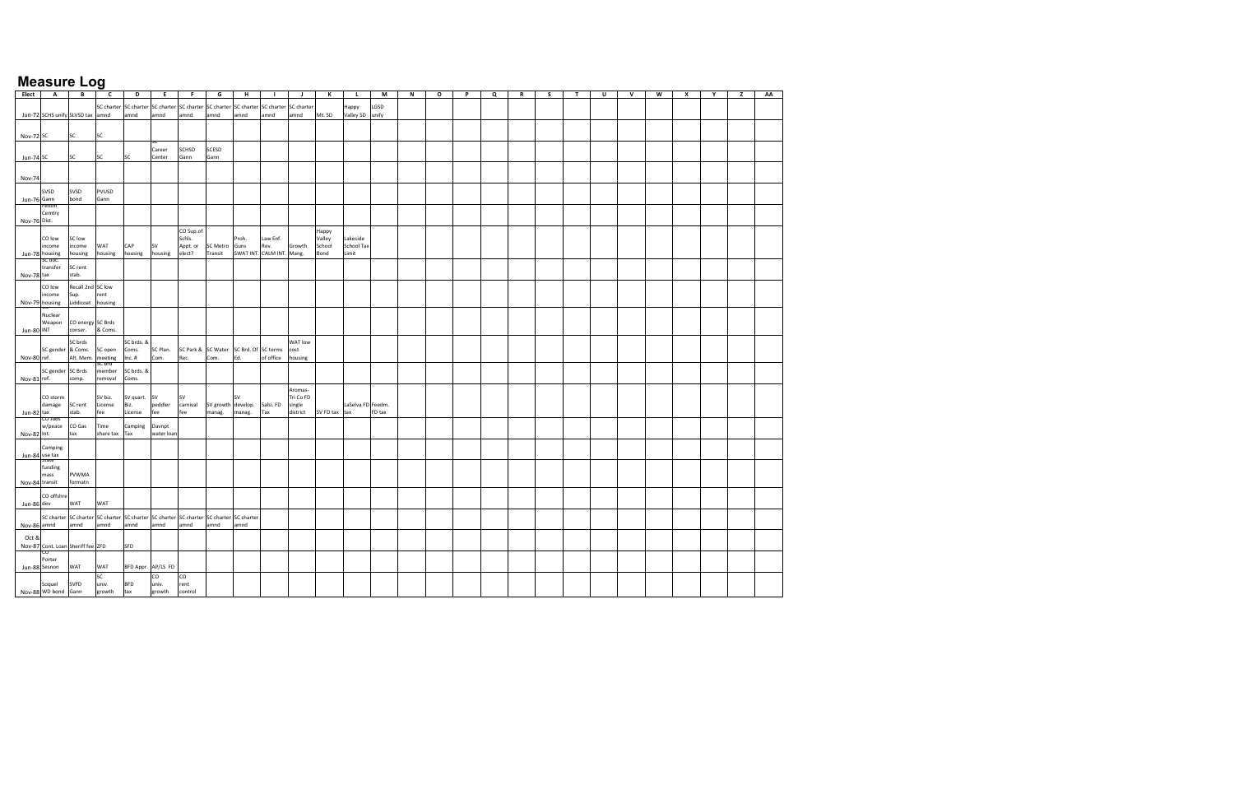| Elect         |                                                                                         | B                 | c         | D                                           | E          | F.           | G                  | н                                      |           |            | К             |                   | M      | N | $\circ$ | P | Q | R | s | $\mathbf r$ | U | $\mathsf{v}$ | W | x | Υ | z | AA |
|---------------|-----------------------------------------------------------------------------------------|-------------------|-----------|---------------------------------------------|------------|--------------|--------------------|----------------------------------------|-----------|------------|---------------|-------------------|--------|---|---------|---|---|---|---|-------------|---|--------------|---|---|---|---|----|
|               | А                                                                                       |                   |           |                                             |            |              |                    |                                        |           |            |               |                   |        |   |         |   |   |   |   |             |   |              |   |   |   |   |    |
|               |                                                                                         |                   |           | SC charter SC charter SC charter SC charter |            |              |                    | SC charter SC charter SC charter       |           | SC charter |               | Нарру             | LGSD   |   |         |   |   |   |   |             |   |              |   |   |   |   |    |
|               | Jun-72 SCHS unify SLVSD tax amnd                                                        |                   |           | amnd                                        | amnd       | amnd         | amnd               | amnd                                   | amnd      | amnd       | Mt. SD        | Valley SD         | unify  |   |         |   |   |   |   |             |   |              |   |   |   |   |    |
|               |                                                                                         |                   |           |                                             |            |              |                    |                                        |           |            |               |                   |        |   |         |   |   |   |   |             |   |              |   |   |   |   |    |
|               |                                                                                         |                   |           |                                             |            |              |                    |                                        |           |            |               |                   |        |   |         |   |   |   |   |             |   |              |   |   |   |   |    |
| Nov-72 SC     |                                                                                         | <b>SC</b>         | SC        |                                             |            |              |                    |                                        |           |            |               |                   |        |   |         |   |   |   |   |             |   |              |   |   |   |   |    |
|               |                                                                                         |                   |           |                                             |            |              |                    |                                        |           |            |               |                   |        |   |         |   |   |   |   |             |   |              |   |   |   |   |    |
|               |                                                                                         |                   |           |                                             | Career     | <b>SCHSD</b> | SCESD              |                                        |           |            |               |                   |        |   |         |   |   |   |   |             |   |              |   |   |   |   |    |
| Jun-74 SC     |                                                                                         | <b>SC</b>         | SC        | SC                                          | Center     | Gann         | Gann               |                                        |           |            |               |                   |        |   |         |   |   |   |   |             |   |              |   |   |   |   |    |
|               |                                                                                         |                   |           |                                             |            |              |                    |                                        |           |            |               |                   |        |   |         |   |   |   |   |             |   |              |   |   |   |   |    |
|               |                                                                                         |                   |           |                                             |            |              |                    |                                        |           |            |               |                   |        |   |         |   |   |   |   |             |   |              |   |   |   |   |    |
| <b>Nov-74</b> |                                                                                         |                   |           |                                             |            |              |                    |                                        |           |            |               |                   |        |   |         |   |   |   |   |             |   |              |   |   |   |   |    |
|               |                                                                                         |                   |           |                                             |            |              |                    |                                        |           |            |               |                   |        |   |         |   |   |   |   |             |   |              |   |   |   |   |    |
|               | SVSD                                                                                    | SVSD              | PVUSD     |                                             |            |              |                    |                                        |           |            |               |                   |        |   |         |   |   |   |   |             |   |              |   |   |   |   |    |
| Jun-76 Gann   |                                                                                         | bond              | Gann      |                                             |            |              |                    |                                        |           |            |               |                   |        |   |         |   |   |   |   |             |   |              |   |   |   |   |    |
|               | reiton                                                                                  |                   |           |                                             |            |              |                    |                                        |           |            |               |                   |        |   |         |   |   |   |   |             |   |              |   |   |   |   |    |
|               | Cemtry                                                                                  |                   |           |                                             |            |              |                    |                                        |           |            |               |                   |        |   |         |   |   |   |   |             |   |              |   |   |   |   |    |
| Nov-76 Dist.  |                                                                                         |                   |           |                                             |            |              |                    |                                        |           |            |               |                   |        |   |         |   |   |   |   |             |   |              |   |   |   |   |    |
|               |                                                                                         |                   |           |                                             |            | CO Sup.of    |                    |                                        |           |            | Happy         |                   |        |   |         |   |   |   |   |             |   |              |   |   |   |   |    |
|               | CO low                                                                                  | SC low            |           |                                             |            | Schls.       |                    | Proh.                                  | Law Enf.  |            | Valley        | Lakeside          |        |   |         |   |   |   |   |             |   |              |   |   |   |   |    |
|               | income                                                                                  | income            | WAT       | CAP                                         | <b>SV</b>  | Appt. or     | SC Metro Guns      |                                        | Rev.      | Growth     | School        | <b>School Tax</b> |        |   |         |   |   |   |   |             |   |              |   |   |   |   |    |
|               | Jun-78 housing                                                                          | housing           | housing   | housing                                     | housing    | elect?       | Transit            | SWAT INT. CALM INT.                    |           | Mang.      | Bond          | Limit             |        |   |         |   |   |   |   |             |   |              |   |   |   |   |    |
|               | SC aoc.                                                                                 |                   |           |                                             |            |              |                    |                                        |           |            |               |                   |        |   |         |   |   |   |   |             |   |              |   |   |   |   |    |
|               | transfer                                                                                | SC rent           |           |                                             |            |              |                    |                                        |           |            |               |                   |        |   |         |   |   |   |   |             |   |              |   |   |   |   |    |
| Nov-78 tax    |                                                                                         | stab.             |           |                                             |            |              |                    |                                        |           |            |               |                   |        |   |         |   |   |   |   |             |   |              |   |   |   |   |    |
|               |                                                                                         |                   |           |                                             |            |              |                    |                                        |           |            |               |                   |        |   |         |   |   |   |   |             |   |              |   |   |   |   |    |
|               | CO low                                                                                  | Recall 2nd SC low |           |                                             |            |              |                    |                                        |           |            |               |                   |        |   |         |   |   |   |   |             |   |              |   |   |   |   |    |
|               | income                                                                                  | Sup.              | rent      |                                             |            |              |                    |                                        |           |            |               |                   |        |   |         |   |   |   |   |             |   |              |   |   |   |   |    |
|               | Nov-79 housing                                                                          | Liddicoat housing |           |                                             |            |              |                    |                                        |           |            |               |                   |        |   |         |   |   |   |   |             |   |              |   |   |   |   |    |
|               |                                                                                         |                   |           |                                             |            |              |                    |                                        |           |            |               |                   |        |   |         |   |   |   |   |             |   |              |   |   |   |   |    |
|               | Nuclear                                                                                 |                   |           |                                             |            |              |                    |                                        |           |            |               |                   |        |   |         |   |   |   |   |             |   |              |   |   |   |   |    |
|               | Weapon                                                                                  | CO energy SC Brds |           |                                             |            |              |                    |                                        |           |            |               |                   |        |   |         |   |   |   |   |             |   |              |   |   |   |   |    |
| Jun-80 INT    |                                                                                         | conser.           | & Coms.   |                                             |            |              |                    |                                        |           |            |               |                   |        |   |         |   |   |   |   |             |   |              |   |   |   |   |    |
|               |                                                                                         |                   |           |                                             |            |              |                    |                                        |           |            |               |                   |        |   |         |   |   |   |   |             |   |              |   |   |   |   |    |
|               |                                                                                         | SC brds           |           | SC brds. &                                  |            |              |                    |                                        |           | WAT low    |               |                   |        |   |         |   |   |   |   |             |   |              |   |   |   |   |    |
|               | SC gender & Coms.                                                                       |                   | SC open   | Coms.                                       | SC Plan.   |              |                    | SC Park & SC Water SC Brd. Of SC terms |           | cost       |               |                   |        |   |         |   |   |   |   |             |   |              |   |   |   |   |    |
| Nov-80 ref.   |                                                                                         | Alt. Mem.         | meeting   | $Inc.$ #                                    | Com.       | Rec.         | Com.               | Ed.                                    | of office | housing    |               |                   |        |   |         |   |   |   |   |             |   |              |   |   |   |   |    |
|               |                                                                                         |                   | sc pra    |                                             |            |              |                    |                                        |           |            |               |                   |        |   |         |   |   |   |   |             |   |              |   |   |   |   |    |
|               | SC gender SC Brds                                                                       |                   | member    | SC brds. &                                  |            |              |                    |                                        |           |            |               |                   |        |   |         |   |   |   |   |             |   |              |   |   |   |   |    |
| Nov-81 ref.   |                                                                                         | comp.             | removal   | Coms.                                       |            |              |                    |                                        |           |            |               |                   |        |   |         |   |   |   |   |             |   |              |   |   |   |   |    |
|               |                                                                                         |                   |           |                                             |            |              |                    |                                        |           | Aromas-    |               |                   |        |   |         |   |   |   |   |             |   |              |   |   |   |   |    |
|               | CO storm                                                                                |                   | SV biz.   | SV quart. SV                                |            | SV           |                    | <b>SV</b>                              |           | Tri Co FD  |               |                   |        |   |         |   |   |   |   |             |   |              |   |   |   |   |    |
|               | damage                                                                                  | SC rent           | License   | Biz.                                        | peddler    | carnival     | SV growth develop. |                                        | Salsi. FD | single     |               | LaSelva FD Feedm. |        |   |         |   |   |   |   |             |   |              |   |   |   |   |    |
| Jun-82 tax    |                                                                                         | stab.             | fee       | License                                     | fee        | fee          | manag.             | manag.                                 | Tax       | district   | SV FD tax tax |                   | FD tax |   |         |   |   |   |   |             |   |              |   |   |   |   |    |
|               | CO JODS                                                                                 |                   |           |                                             |            |              |                    |                                        |           |            |               |                   |        |   |         |   |   |   |   |             |   |              |   |   |   |   |    |
|               | w/peace                                                                                 | CO Gas            | Time      | Camping                                     | Davnpt     |              |                    |                                        |           |            |               |                   |        |   |         |   |   |   |   |             |   |              |   |   |   |   |    |
| Nov-82 Int.   |                                                                                         | tax               | share tax | Tax                                         | water loan |              |                    |                                        |           |            |               |                   |        |   |         |   |   |   |   |             |   |              |   |   |   |   |    |
|               |                                                                                         |                   |           |                                             |            |              |                    |                                        |           |            |               |                   |        |   |         |   |   |   |   |             |   |              |   |   |   |   |    |
|               | Camping                                                                                 |                   |           |                                             |            |              |                    |                                        |           |            |               |                   |        |   |         |   |   |   |   |             |   |              |   |   |   |   |    |
|               | Jun-84 use tax                                                                          |                   |           |                                             |            |              |                    |                                        |           |            |               |                   |        |   |         |   |   |   |   |             |   |              |   |   |   |   |    |
|               | <b>Jidle</b>                                                                            |                   |           |                                             |            |              |                    |                                        |           |            |               |                   |        |   |         |   |   |   |   |             |   |              |   |   |   |   |    |
|               | funding                                                                                 |                   |           |                                             |            |              |                    |                                        |           |            |               |                   |        |   |         |   |   |   |   |             |   |              |   |   |   |   |    |
|               | mass                                                                                    | <b>PVWMA</b>      |           |                                             |            |              |                    |                                        |           |            |               |                   |        |   |         |   |   |   |   |             |   |              |   |   |   |   |    |
|               | Nov-84 transit                                                                          | formatn           |           |                                             |            |              |                    |                                        |           |            |               |                   |        |   |         |   |   |   |   |             |   |              |   |   |   |   |    |
|               |                                                                                         |                   |           |                                             |            |              |                    |                                        |           |            |               |                   |        |   |         |   |   |   |   |             |   |              |   |   |   |   |    |
|               | CO offshre                                                                              |                   |           |                                             |            |              |                    |                                        |           |            |               |                   |        |   |         |   |   |   |   |             |   |              |   |   |   |   |    |
| Jun-86 dev    |                                                                                         | WAT               | WAT       |                                             |            |              |                    |                                        |           |            |               |                   |        |   |         |   |   |   |   |             |   |              |   |   |   |   |    |
|               |                                                                                         |                   |           |                                             |            |              |                    |                                        |           |            |               |                   |        |   |         |   |   |   |   |             |   |              |   |   |   |   |    |
|               | SC charter SC charter SC charter SC charter SC charter SC charter SC charter SC charter |                   |           |                                             |            |              |                    |                                        |           |            |               |                   |        |   |         |   |   |   |   |             |   |              |   |   |   |   |    |
|               | Nov-86 amnd                                                                             | amnd              | amnd      | amnd                                        | amnd       | amnd         | amnd               | amnd                                   |           |            |               |                   |        |   |         |   |   |   |   |             |   |              |   |   |   |   |    |
| Oct &         |                                                                                         |                   |           |                                             |            |              |                    |                                        |           |            |               |                   |        |   |         |   |   |   |   |             |   |              |   |   |   |   |    |
|               |                                                                                         |                   |           |                                             |            |              |                    |                                        |           |            |               |                   |        |   |         |   |   |   |   |             |   |              |   |   |   |   |    |
|               | Nov-87 Cont. Loan Sheriff fee ZFD<br>$\mathbf{c}$                                       |                   |           | SFD                                         |            |              |                    |                                        |           |            |               |                   |        |   |         |   |   |   |   |             |   |              |   |   |   |   |    |
|               | Porter                                                                                  |                   |           |                                             |            |              |                    |                                        |           |            |               |                   |        |   |         |   |   |   |   |             |   |              |   |   |   |   |    |
|               |                                                                                         | <b>WAT</b>        | WAT       | BFD Appr. AP/LS FD                          |            |              |                    |                                        |           |            |               |                   |        |   |         |   |   |   |   |             |   |              |   |   |   |   |    |
|               | Jun-88 Sesnon                                                                           |                   |           |                                             |            |              |                    |                                        |           |            |               |                   |        |   |         |   |   |   |   |             |   |              |   |   |   |   |    |
|               |                                                                                         |                   | SC        |                                             | CO         | co           |                    |                                        |           |            |               |                   |        |   |         |   |   |   |   |             |   |              |   |   |   |   |    |
|               | Soquel                                                                                  | <b>SVFD</b>       | univ.     | <b>BFD</b>                                  | univ.      | rent         |                    |                                        |           |            |               |                   |        |   |         |   |   |   |   |             |   |              |   |   |   |   |    |
|               | Nov-88 WD bond Gann                                                                     |                   | growth    | tax                                         | growth     | control      |                    |                                        |           |            |               |                   |        |   |         |   |   |   |   |             |   |              |   |   |   |   |    |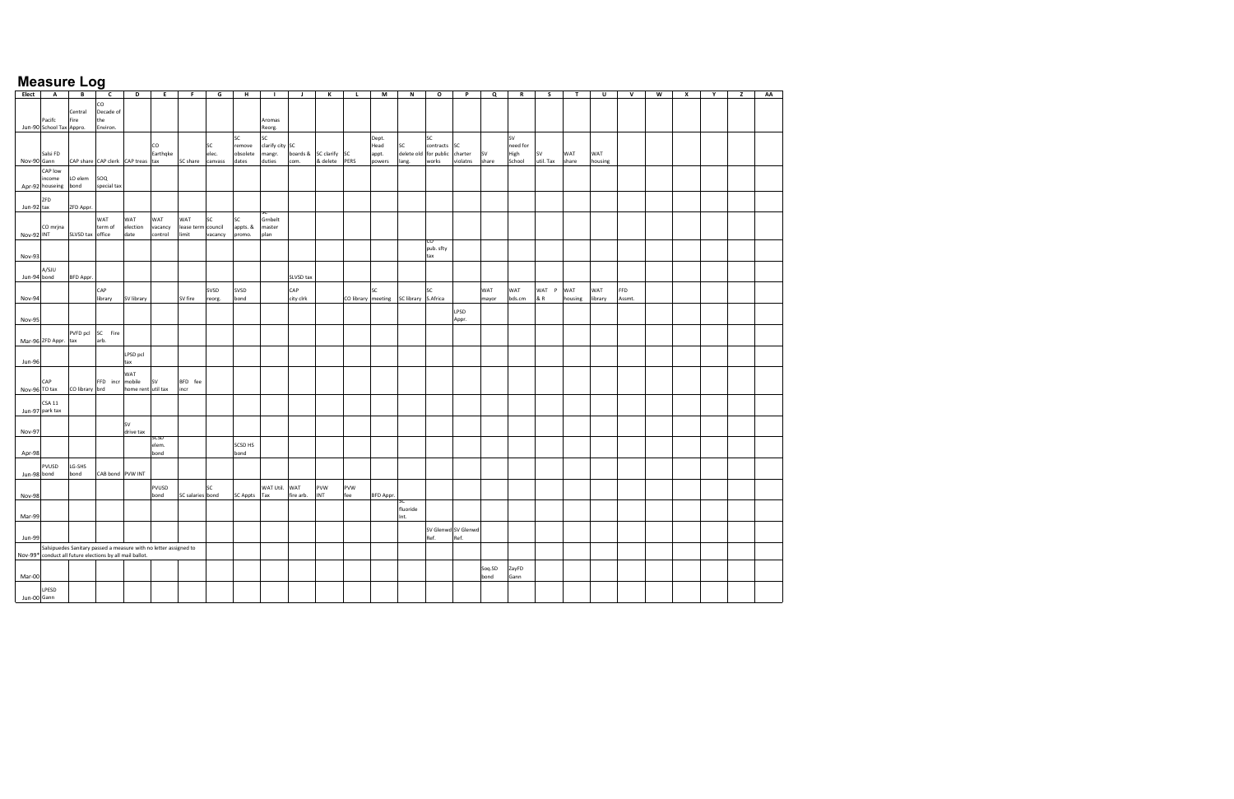| Elect         | $\mathbf{A}$                                             | $\mathbf{B}$     | $\mathsf{c}$                       | D                                                                | E                         | F.                         | G                        | H                                 | $\blacksquare$                            | $\mathbf{J}$     | К                         | $\mathbf{L}$       | M                                | $\mathsf{N}$                         | $\mathbf{o}$             | P                           | Q            | $\mathbf R$                      | s                      | T              | U              | $\mathsf{v}$         | W | $\mathbf{x}$ | Y | z | AA |
|---------------|----------------------------------------------------------|------------------|------------------------------------|------------------------------------------------------------------|---------------------------|----------------------------|--------------------------|-----------------------------------|-------------------------------------------|------------------|---------------------------|--------------------|----------------------------------|--------------------------------------|--------------------------|-----------------------------|--------------|----------------------------------|------------------------|----------------|----------------|----------------------|---|--------------|---|---|----|
|               | Pacifc<br>Jun-90 School Tax Appro.                       | Central<br>Fire  | CO<br>Decade of<br>the<br>Environ. |                                                                  |                           |                            |                          |                                   | Aromas<br>Reorg.                          |                  |                           |                    |                                  |                                      |                          |                             |              |                                  |                        |                |                |                      |   |              |   |   |    |
| Nov-90 Gann   | Salsi FD                                                 |                  |                                    | CAP share CAP clerk CAP treas tax                                | CO<br>Earthqke            | SC share                   | SC<br>elec.<br>canvass   | SC<br>remove<br>obsolete<br>dates | SC<br>clarify city SC<br>mangr.<br>duties | boards &<br>com. | SC clarify SC<br>& delete | PERS               | Dept.<br>Head<br>appt.<br>powers | SC<br>delete old for public<br>lang. | SC<br>contracts<br>works | SC<br>charter<br>violatns   | SV<br>share  | sv<br>need for<br>High<br>School | <b>SV</b><br>util. Tax | WAT<br>share   | WAT<br>housing |                      |   |              |   |   |    |
|               | CAP low<br>income<br>Apr-92 houseing                     | LO elem<br>bond  | soq<br>special tax                 |                                                                  |                           |                            |                          |                                   |                                           |                  |                           |                    |                                  |                                      |                          |                             |              |                                  |                        |                |                |                      |   |              |   |   |    |
| Jun-92 tax    | ZFD                                                      | ZFD Appr.        |                                    |                                                                  |                           |                            |                          |                                   |                                           |                  |                           |                    |                                  |                                      |                          |                             |              |                                  |                        |                |                |                      |   |              |   |   |    |
| Nov-92 INT    | CO mrjna                                                 | SLVSD tax office | WAT<br>term of                     | WAT<br>election<br>date                                          | WAT<br>vacancy<br>control | WAT<br>lease term<br>limit | SC<br>council<br>vacancy | SC<br>appts. &<br>promo.          | Grnbelt<br>master<br>plan                 |                  |                           |                    |                                  |                                      |                          |                             |              |                                  |                        |                |                |                      |   |              |   |   |    |
| Nov-93        |                                                          |                  |                                    |                                                                  |                           |                            |                          |                                   |                                           |                  |                           |                    |                                  |                                      | pub. sfty<br>tax         |                             |              |                                  |                        |                |                |                      |   |              |   |   |    |
| Jun-94 bond   | A/SJU                                                    | BFD Appr.        |                                    |                                                                  |                           |                            |                          |                                   |                                           | SLVSD tax        |                           |                    |                                  |                                      |                          |                             |              |                                  |                        |                |                |                      |   |              |   |   |    |
| Nov-94        |                                                          |                  | CAP<br>library                     | SV library                                                       |                           | SV fire                    | SVSD<br>reorg.           | SVSD<br>bond                      |                                           | CAP<br>city clrk |                           | CO library meeting | SC                               | SC library S.Africa                  | SC                       |                             | WAT<br>mayor | WAT<br>bds.cm                    | WAT P<br>& R           | WAT<br>housing | WAT<br>library | <b>FFD</b><br>Assmt. |   |              |   |   |    |
| Nov-95        |                                                          |                  |                                    |                                                                  |                           |                            |                          |                                   |                                           |                  |                           |                    |                                  |                                      |                          | LPSD<br>Appr.               |              |                                  |                        |                |                |                      |   |              |   |   |    |
|               | Mar-96 ZFD Appr. tax                                     |                  | PVFD pcl SC Fire<br>arb.           |                                                                  |                           |                            |                          |                                   |                                           |                  |                           |                    |                                  |                                      |                          |                             |              |                                  |                        |                |                |                      |   |              |   |   |    |
| <b>Jun-96</b> |                                                          |                  |                                    | LPSD pcl<br>tax                                                  |                           |                            |                          |                                   |                                           |                  |                           |                    |                                  |                                      |                          |                             |              |                                  |                        |                |                |                      |   |              |   |   |    |
| Nov-96 TO tax | CAP                                                      | CO library brd   | FFD incr                           | WAT<br>mobile<br>home rent util tax                              | <b>SV</b>                 | BFD fee<br>incr            |                          |                                   |                                           |                  |                           |                    |                                  |                                      |                          |                             |              |                                  |                        |                |                |                      |   |              |   |   |    |
|               | <b>CSA 11</b><br>Jun-97 park tax                         |                  |                                    |                                                                  |                           |                            |                          |                                   |                                           |                  |                           |                    |                                  |                                      |                          |                             |              |                                  |                        |                |                |                      |   |              |   |   |    |
| Nov-97        |                                                          |                  |                                    | SV<br>drive tax                                                  | icsd                      |                            |                          |                                   |                                           |                  |                           |                    |                                  |                                      |                          |                             |              |                                  |                        |                |                |                      |   |              |   |   |    |
| Apr-98        |                                                          |                  |                                    |                                                                  | elem.<br>bond             |                            |                          | SCSD HS<br>bond                   |                                           |                  |                           |                    |                                  |                                      |                          |                             |              |                                  |                        |                |                |                      |   |              |   |   |    |
| Jun-98 bond   | PVUSD                                                    | LG-SHS<br>bond   | CAB bond PVW INT                   |                                                                  |                           |                            |                          |                                   |                                           |                  |                           |                    |                                  |                                      |                          |                             |              |                                  |                        |                |                |                      |   |              |   |   |    |
| Nov-98        |                                                          |                  |                                    |                                                                  | PVUSD<br>bond             | SC salaries bond           | SC                       | <b>SC Appts</b>                   | WAT Util.<br>Tax                          | WAT<br>fire arb. | PVW<br><b>INT</b>         | PVW<br>fee         | <b>BFD Appr.</b>                 |                                      |                          |                             |              |                                  |                        |                |                |                      |   |              |   |   |    |
| Mar-99        |                                                          |                  |                                    |                                                                  |                           |                            |                          |                                   |                                           |                  |                           |                    |                                  | fluoride<br>Int.                     |                          |                             |              |                                  |                        |                |                |                      |   |              |   |   |    |
| <b>Jun-99</b> |                                                          |                  |                                    |                                                                  |                           |                            |                          |                                   |                                           |                  |                           |                    |                                  |                                      | Ref.                     | SV Glenwd SV Glenwd<br>Ref. |              |                                  |                        |                |                |                      |   |              |   |   |    |
|               | Nov-99* conduct all future elections by all mail ballot. |                  |                                    | Salsipuedes Sanitary passed a measure with no letter assigned to |                           |                            |                          |                                   |                                           |                  |                           |                    |                                  |                                      |                          |                             | Soq.SD       | ZayFD                            |                        |                |                |                      |   |              |   |   |    |
| Mar-00        |                                                          |                  |                                    |                                                                  |                           |                            |                          |                                   |                                           |                  |                           |                    |                                  |                                      |                          |                             | bond         | Gann                             |                        |                |                |                      |   |              |   |   |    |
| Jun-00 Gann   | LPESD                                                    |                  |                                    |                                                                  |                           |                            |                          |                                   |                                           |                  |                           |                    |                                  |                                      |                          |                             |              |                                  |                        |                |                |                      |   |              |   |   |    |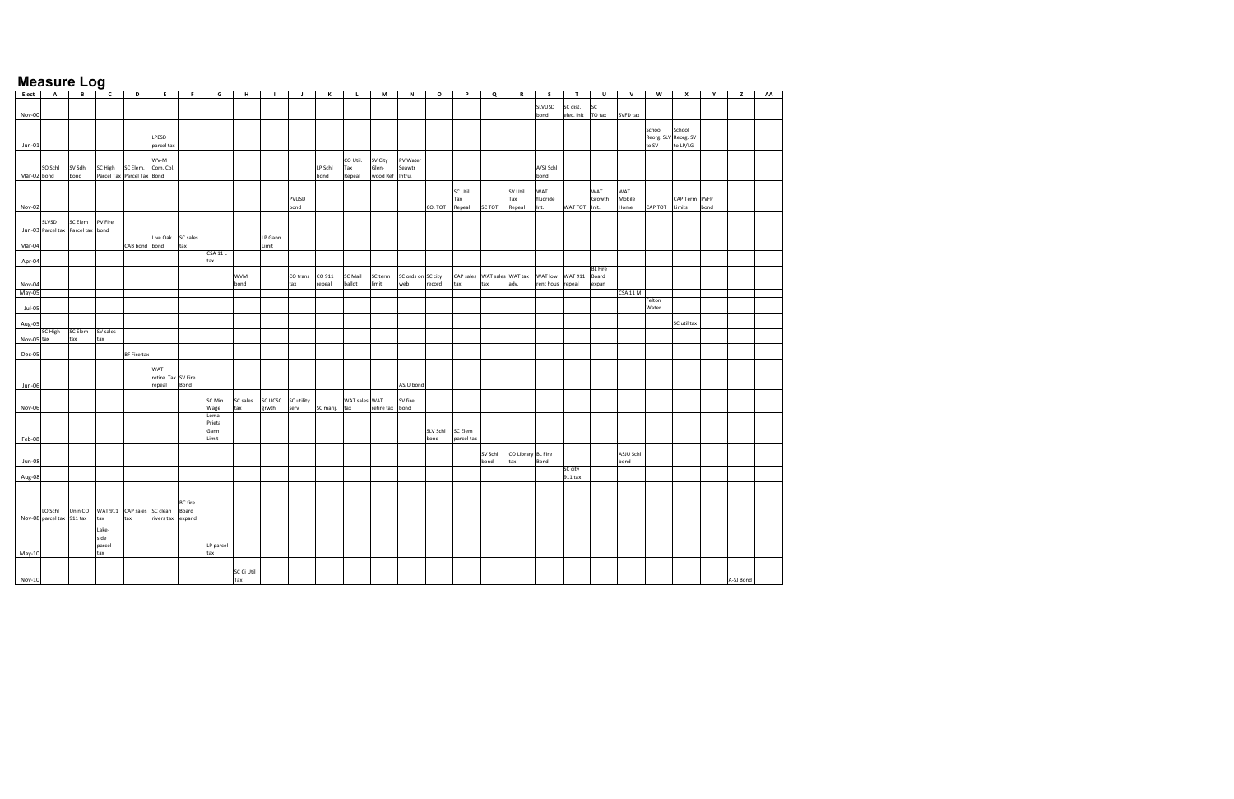| Elect       | $\mathbf{A}$              | B                                 | $\overline{c}$        | $\mathbf{D}$               | E                   | F.             | G         | H          | $\mathbf{L}$ | $\mathbf{J}$ | К             | L.             | M               | $\mathsf N$        | $\circ$         | P                           | Q       | $\mathbf R$        | s.               | T                 | $\cup$         | $\mathsf{v}$   | W                    | $\mathbf{x}$  | Y    | $\mathbf{z}$ | AA |
|-------------|---------------------------|-----------------------------------|-----------------------|----------------------------|---------------------|----------------|-----------|------------|--------------|--------------|---------------|----------------|-----------------|--------------------|-----------------|-----------------------------|---------|--------------------|------------------|-------------------|----------------|----------------|----------------------|---------------|------|--------------|----|
|             |                           |                                   |                       |                            |                     |                |           |            |              |              |               |                |                 |                    |                 |                             |         |                    |                  |                   |                |                |                      |               |      |              |    |
|             |                           |                                   |                       |                            |                     |                |           |            |              |              |               |                |                 |                    |                 |                             |         |                    | SLVUSD           | SC dist.          | <b>SC</b>      |                |                      |               |      |              |    |
| Nov-00      |                           |                                   |                       |                            |                     |                |           |            |              |              |               |                |                 |                    |                 |                             |         |                    | bond             | elec. Init TO tax |                | SVFD tax       |                      |               |      |              |    |
|             |                           |                                   |                       |                            |                     |                |           |            |              |              |               |                |                 |                    |                 |                             |         |                    |                  |                   |                |                |                      |               |      |              |    |
|             |                           |                                   |                       |                            |                     |                |           |            |              |              |               |                |                 |                    |                 |                             |         |                    |                  |                   |                |                | School               | School        |      |              |    |
|             |                           |                                   |                       |                            | LPESD               |                |           |            |              |              |               |                |                 |                    |                 |                             |         |                    |                  |                   |                |                | Reorg. SLV Reorg. SV |               |      |              |    |
| Jun-01      |                           |                                   |                       |                            | parcel tax          |                |           |            |              |              |               |                |                 |                    |                 |                             |         |                    |                  |                   |                |                | to SV                | to LP/LG      |      |              |    |
|             |                           |                                   |                       |                            |                     |                |           |            |              |              |               |                |                 |                    |                 |                             |         |                    |                  |                   |                |                |                      |               |      |              |    |
|             |                           |                                   |                       |                            | WV-M                |                |           |            |              |              |               | CO Util.       | SV City         | PV Water           |                 |                             |         |                    |                  |                   |                |                |                      |               |      |              |    |
|             | SO Schl                   | SV Sdhl                           | SC High               | SC Elem.                   | Com. Col.           |                |           |            |              |              | LP Schl       | Tax            | Glen-           | Seawtr             |                 |                             |         |                    | A/SJ Schl        |                   |                |                |                      |               |      |              |    |
| Mar-02 bond |                           | bond                              | Parcel Tax Parcel Tax |                            | Bond                |                |           |            |              |              | bond          | Repeal         | wood Ref Intru. |                    |                 |                             |         |                    | bond             |                   |                |                |                      |               |      |              |    |
|             |                           |                                   |                       |                            |                     |                |           |            |              |              |               |                |                 |                    |                 |                             |         |                    |                  |                   |                |                |                      |               |      |              |    |
|             |                           |                                   |                       |                            |                     |                |           |            |              |              |               |                |                 |                    |                 | SC Util.                    |         | SV Util.           | WAT              |                   | WAT            | WAT            |                      |               |      |              |    |
|             |                           |                                   |                       |                            |                     |                |           |            |              | PVUSD        |               |                |                 |                    |                 | Tax                         |         | Tax                | fluoride<br>Int. | WAT TOT Init.     | Growth         | Mobile<br>Home | CAP TOT Limits       | CAP Term PVFP |      |              |    |
| Nov-02      |                           |                                   |                       |                            |                     |                |           |            |              | bond         |               |                |                 |                    | CO. TOT         | Repeal                      | SC TOT  | Repeal             |                  |                   |                |                |                      |               | bond |              |    |
|             | SLVSD                     | SC Elem                           | PV Fire               |                            |                     |                |           |            |              |              |               |                |                 |                    |                 |                             |         |                    |                  |                   |                |                |                      |               |      |              |    |
|             |                           | Jun-03 Parcel tax Parcel tax bond |                       |                            |                     |                |           |            |              |              |               |                |                 |                    |                 |                             |         |                    |                  |                   |                |                |                      |               |      |              |    |
|             |                           |                                   |                       |                            | Live Oak SC sales   |                |           |            | LP Gann      |              |               |                |                 |                    |                 |                             |         |                    |                  |                   |                |                |                      |               |      |              |    |
| Mar-04      |                           |                                   |                       | CAB bond bond              |                     | tax            |           |            | Limit        |              |               |                |                 |                    |                 |                             |         |                    |                  |                   |                |                |                      |               |      |              |    |
|             |                           |                                   |                       |                            |                     |                | CSA 11 L  |            |              |              |               |                |                 |                    |                 |                             |         |                    |                  |                   |                |                |                      |               |      |              |    |
| Apr-04      |                           |                                   |                       |                            |                     |                | tax       |            |              |              |               |                |                 |                    |                 |                             |         |                    |                  |                   |                |                |                      |               |      |              |    |
|             |                           |                                   |                       |                            |                     |                |           |            |              |              |               |                |                 |                    |                 |                             |         |                    |                  |                   | <b>BL</b> Fire |                |                      |               |      |              |    |
|             |                           |                                   |                       |                            |                     |                |           | <b>WVM</b> |              | CO trans     | CO 911        | <b>SC Mail</b> | SC term         | SC ords on SC city |                 | CAP sales WAT sales WAT tax |         |                    | WAT low          | WAT 911 Board     |                |                |                      |               |      |              |    |
| Nov-04      |                           |                                   |                       |                            |                     |                |           | bond       |              | tax          | repeal        | ballot         | limit           | web                | record          | tax                         | tax     | adv.               | rent hous repeal |                   | expan          |                |                      |               |      |              |    |
| $May-05$    |                           |                                   |                       |                            |                     |                |           |            |              |              |               |                |                 |                    |                 |                             |         |                    |                  |                   |                | CSA 11 M       |                      |               |      |              |    |
|             |                           |                                   |                       |                            |                     |                |           |            |              |              |               |                |                 |                    |                 |                             |         |                    |                  |                   |                |                | Felton               |               |      |              |    |
| Jul-05      |                           |                                   |                       |                            |                     |                |           |            |              |              |               |                |                 |                    |                 |                             |         |                    |                  |                   |                |                | Water                |               |      |              |    |
|             |                           |                                   |                       |                            |                     |                |           |            |              |              |               |                |                 |                    |                 |                             |         |                    |                  |                   |                |                |                      |               |      |              |    |
| Aug-05      |                           |                                   |                       |                            |                     |                |           |            |              |              |               |                |                 |                    |                 |                             |         |                    |                  |                   |                |                |                      | SC util tax   |      |              |    |
|             | SC High                   | SC Elem SV sales                  |                       |                            |                     |                |           |            |              |              |               |                |                 |                    |                 |                             |         |                    |                  |                   |                |                |                      |               |      |              |    |
| Nov-05 tax  |                           | tax                               | tax                   |                            |                     |                |           |            |              |              |               |                |                 |                    |                 |                             |         |                    |                  |                   |                |                |                      |               |      |              |    |
|             |                           |                                   |                       |                            |                     |                |           |            |              |              |               |                |                 |                    |                 |                             |         |                    |                  |                   |                |                |                      |               |      |              |    |
| Dec-05      |                           |                                   |                       | BF Fire tax                |                     |                |           |            |              |              |               |                |                 |                    |                 |                             |         |                    |                  |                   |                |                |                      |               |      |              |    |
|             |                           |                                   |                       |                            |                     |                |           |            |              |              |               |                |                 |                    |                 |                             |         |                    |                  |                   |                |                |                      |               |      |              |    |
|             |                           |                                   |                       |                            | WAT                 |                |           |            |              |              |               |                |                 |                    |                 |                             |         |                    |                  |                   |                |                |                      |               |      |              |    |
|             |                           |                                   |                       |                            | retire. Tax SV Fire | Bond           |           |            |              |              |               |                |                 |                    |                 |                             |         |                    |                  |                   |                |                |                      |               |      |              |    |
| Jun-06      |                           |                                   |                       |                            | repeal              |                |           |            |              |              |               |                |                 | ASJU bond          |                 |                             |         |                    |                  |                   |                |                |                      |               |      |              |    |
|             |                           |                                   |                       |                            |                     |                | SC Min.   | SC sales   | SC UCSC      | SC utility   |               | WAT sales WAT  |                 | SV fire            |                 |                             |         |                    |                  |                   |                |                |                      |               |      |              |    |
| Nov-06      |                           |                                   |                       |                            |                     |                | Wage      | tax        | grwth        | serv         | SC marij. tax |                | retire tax bond |                    |                 |                             |         |                    |                  |                   |                |                |                      |               |      |              |    |
|             |                           |                                   |                       |                            |                     |                | Loma      |            |              |              |               |                |                 |                    |                 |                             |         |                    |                  |                   |                |                |                      |               |      |              |    |
|             |                           |                                   |                       |                            |                     |                | Prieta    |            |              |              |               |                |                 |                    |                 |                             |         |                    |                  |                   |                |                |                      |               |      |              |    |
|             |                           |                                   |                       |                            |                     |                | Gann      |            |              |              |               |                |                 |                    | <b>SLV Schl</b> | SC Elem                     |         |                    |                  |                   |                |                |                      |               |      |              |    |
| Feb-08      |                           |                                   |                       |                            |                     |                | Limit     |            |              |              |               |                |                 |                    | bond            | parcel tax                  |         |                    |                  |                   |                |                |                      |               |      |              |    |
|             |                           |                                   |                       |                            |                     |                |           |            |              |              |               |                |                 |                    |                 |                             |         |                    |                  |                   |                |                |                      |               |      |              |    |
|             |                           |                                   |                       |                            |                     |                |           |            |              |              |               |                |                 |                    |                 |                             | SV Schl | CO Library BL Fire |                  |                   |                | ASJU Schl      |                      |               |      |              |    |
| Jun-08      |                           |                                   |                       |                            |                     |                |           |            |              |              |               |                |                 |                    |                 |                             | bond    | tax                | Bond             |                   |                | bond           |                      |               |      |              |    |
|             |                           |                                   |                       |                            |                     |                |           |            |              |              |               |                |                 |                    |                 |                             |         |                    |                  | SC city           |                |                |                      |               |      |              |    |
| Aug-08      |                           |                                   |                       |                            |                     |                |           |            |              |              |               |                |                 |                    |                 |                             |         |                    |                  | 911 tax           |                |                |                      |               |      |              |    |
|             |                           |                                   |                       |                            |                     |                |           |            |              |              |               |                |                 |                    |                 |                             |         |                    |                  |                   |                |                |                      |               |      |              |    |
|             |                           |                                   |                       |                            |                     |                |           |            |              |              |               |                |                 |                    |                 |                             |         |                    |                  |                   |                |                |                      |               |      |              |    |
|             |                           |                                   |                       |                            |                     | <b>BC</b> fire |           |            |              |              |               |                |                 |                    |                 |                             |         |                    |                  |                   |                |                |                      |               |      |              |    |
|             | LO Schl                   | Unin CO                           |                       | WAT 911 CAP sales SC clean |                     | Board          |           |            |              |              |               |                |                 |                    |                 |                             |         |                    |                  |                   |                |                |                      |               |      |              |    |
|             | Nov-08 parcel tax 911 tax |                                   | tax                   | tax                        | rivers tax expand   |                |           |            |              |              |               |                |                 |                    |                 |                             |         |                    |                  |                   |                |                |                      |               |      |              |    |
|             |                           |                                   | Lake-                 |                            |                     |                |           |            |              |              |               |                |                 |                    |                 |                             |         |                    |                  |                   |                |                |                      |               |      |              |    |
|             |                           |                                   | side                  |                            |                     |                |           |            |              |              |               |                |                 |                    |                 |                             |         |                    |                  |                   |                |                |                      |               |      |              |    |
|             |                           |                                   | parcel                |                            |                     |                | LP parcel |            |              |              |               |                |                 |                    |                 |                             |         |                    |                  |                   |                |                |                      |               |      |              |    |
| May-10      |                           |                                   | tax                   |                            |                     |                | tax       |            |              |              |               |                |                 |                    |                 |                             |         |                    |                  |                   |                |                |                      |               |      |              |    |
|             |                           |                                   |                       |                            |                     |                |           |            |              |              |               |                |                 |                    |                 |                             |         |                    |                  |                   |                |                |                      |               |      |              |    |
|             |                           |                                   |                       |                            |                     |                |           | SC Ci Util |              |              |               |                |                 |                    |                 |                             |         |                    |                  |                   |                |                |                      |               |      |              |    |
| Nov-10      |                           |                                   |                       |                            |                     |                |           | Tax        |              |              |               |                |                 |                    |                 |                             |         |                    |                  |                   |                |                |                      |               |      | A-SJ Bond    |    |
|             |                           |                                   |                       |                            |                     |                |           |            |              |              |               |                |                 |                    |                 |                             |         |                    |                  |                   |                |                |                      |               |      |              |    |